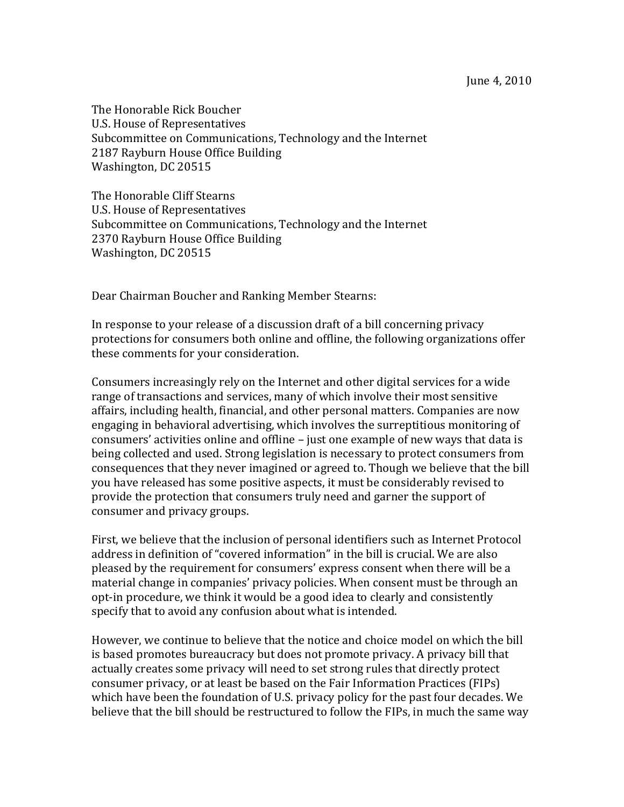The Honorable Rick Boucher U.S. House of Representatives Subcommittee on Communications, Technology and the Internet 2187 Rayburn House Office Building Washington, DC 20515

The Honorable Cliff Stearns U.S. House of Representatives Subcommittee on Communications, Technology and the Internet 2370 Rayburn House Office Building Washington, DC 20515

Dear Chairman Boucher and Ranking Member Stearns:

In response to your release of a discussion draft of a bill concerning privacy protections for consumers both online and offline, the following organizations offer these comments for your consideration.

Consumers increasingly rely on the Internet and other digital services for a wide range of transactions and services, many of which involve their most sensitive affairs, including health, financial, and other personal matters. Companies are now engaging in behavioral advertising, which involves the surreptitious monitoring of consumers' activities online and offline – just one example of new ways that data is being collected and used. Strong legislation is necessary to protect consumers from consequences that they never imagined or agreed to. Though we believe that the bill you have released has some positive aspects, it must be considerably revised to provide the protection that consumers truly need and garner the support of consumer and privacy groups.

First, we believe that the inclusion of personal identifiers such as Internet Protocol address in definition of "covered information" in the bill is crucial. We are also pleased by the requirement for consumers' express consent when there will be a material change in companies' privacy policies. When consent must be through an opt-in procedure, we think it would be a good idea to clearly and consistently specify that to avoid any confusion about what is intended.

However, we continue to believe that the notice and choice model on which the bill is based promotes bureaucracy but does not promote privacy. A privacy bill that actually creates some privacy will need to set strong rules that directly protect consumer privacy, or at least be based on the Fair Information Practices (FIPs) which have been the foundation of U.S. privacy policy for the past four decades. We believe that the bill should be restructured to follow the FIPs, in much the same way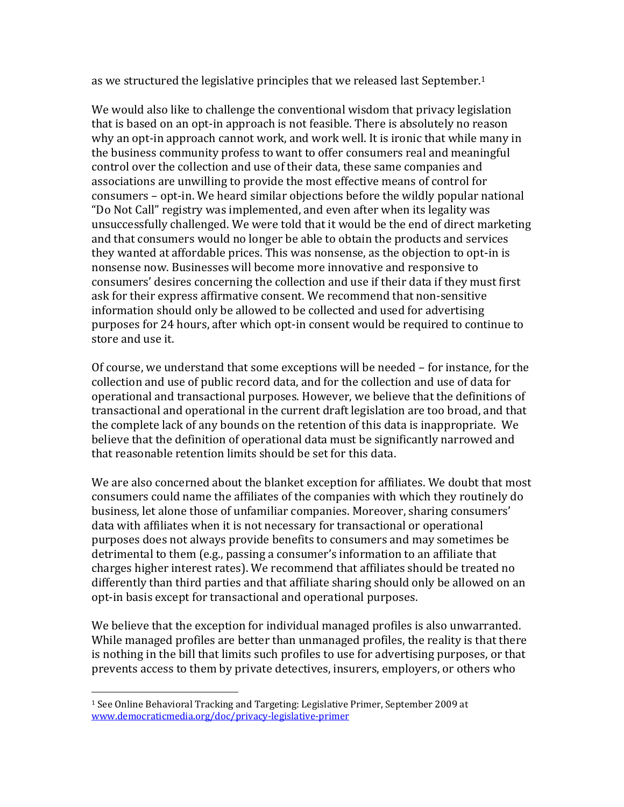as we structured the legislative principles that we released last September.<sup>1</sup>

We would also like to challenge the conventional wisdom that privacy legislation that is based on an opt-in approach is not feasible. There is absolutely no reason why an opt-in approach cannot work, and work well. It is ironic that while many in the business community profess to want to offer consumers real and meaningful control over the collection and use of their data, these same companies and associations are unwilling to provide the most effective means of control for consumers – opt-in. We heard similar objections before the wildly popular national "Do Not Call" registry was implemented, and even after when its legality was unsuccessfully challenged. We were told that it would be the end of direct marketing and that consumers would no longer be able to obtain the products and services they wanted at affordable prices. This was nonsense, as the objection to opt-in is nonsense now. Businesses will become more innovative and responsive to consumers' desires concerning the collection and use if their data if they must first ask for their express affirmative consent. We recommend that non-sensitive information should only be allowed to be collected and used for advertising purposes for 24 hours, after which opt-in consent would be required to continue to store and use it.

Of course, we understand that some exceptions will be needed – for instance, for the collection and use of public record data, and for the collection and use of data for operational and transactional purposes. However, we believe that the definitions of transactional and operational in the current draft legislation are too broad, and that the complete lack of any bounds on the retention of this data is inappropriate. We believe that the definition of operational data must be significantly narrowed and that reasonable retention limits should be set for this data.

We are also concerned about the blanket exception for affiliates. We doubt that most consumers could name the affiliates of the companies with which they routinely do business, let alone those of unfamiliar companies. Moreover, sharing consumers' data with affiliates when it is not necessary for transactional or operational purposes does not always provide benefits to consumers and may sometimes be detrimental to them (e.g., passing a consumer's information to an affiliate that charges higher interest rates). We recommend that affiliates should be treated no differently than third parties and that affiliate sharing should only be allowed on an opt-in basis except for transactional and operational purposes.

We believe that the exception for individual managed profiles is also unwarranted. While managed profiles are better than unmanaged profiles, the reality is that there is nothing in the bill that limits such profiles to use for advertising purposes, or that prevents access to them by private detectives, insurers, employers, or others who

 $\overline{a}$ 

<sup>1</sup> See Online Behavioral Tracking and Targeting: Legislative Primer, September 2009 at [www.democraticmedia.org/doc/privacy-legislative-primer](http://www.democraticmedia.org/doc/privacy-legislative-primer)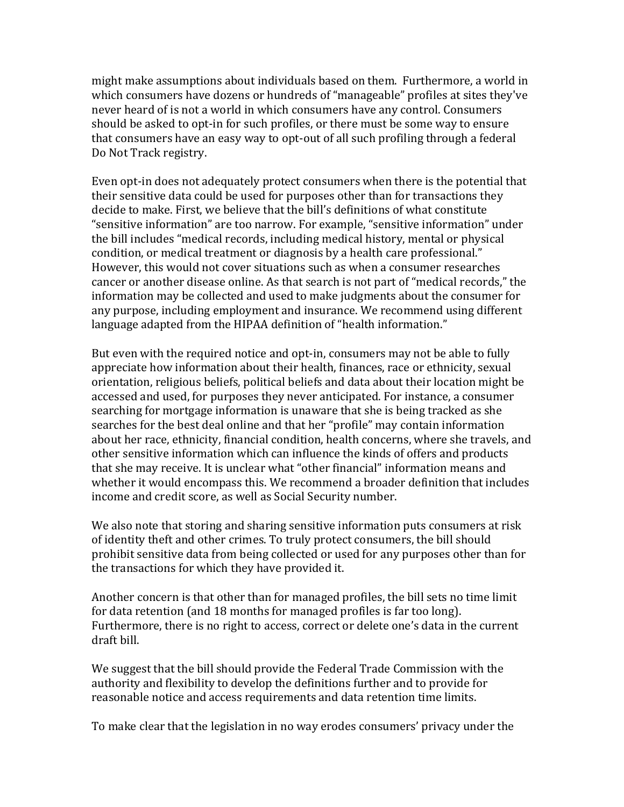might make assumptions about individuals based on them. Furthermore, a world in which consumers have dozens or hundreds of "manageable" profiles at sites they've never heard of is not a world in which consumers have any control. Consumers should be asked to opt-in for such profiles, or there must be some way to ensure that consumers have an easy way to opt-out of all such profiling through a federal Do Not Track registry.

Even opt-in does not adequately protect consumers when there is the potential that their sensitive data could be used for purposes other than for transactions they decide to make. First, we believe that the bill's definitions of what constitute "sensitive information" are too narrow. For example, "sensitive information" under the bill includes "medical records, including medical history, mental or physical condition, or medical treatment or diagnosis by a health care professional." However, this would not cover situations such as when a consumer researches cancer or another disease online. As that search is not part of "medical records," the information may be collected and used to make judgments about the consumer for any purpose, including employment and insurance. We recommend using different language adapted from the HIPAA definition of "health information."

But even with the required notice and opt-in, consumers may not be able to fully appreciate how information about their health, finances, race or ethnicity, sexual orientation, religious beliefs, political beliefs and data about their location might be accessed and used, for purposes they never anticipated. For instance, a consumer searching for mortgage information is unaware that she is being tracked as she searches for the best deal online and that her "profile" may contain information about her race, ethnicity, financial condition, health concerns, where she travels, and other sensitive information which can influence the kinds of offers and products that she may receive. It is unclear what "other financial" information means and whether it would encompass this. We recommend a broader definition that includes income and credit score, as well as Social Security number.

We also note that storing and sharing sensitive information puts consumers at risk of identity theft and other crimes. To truly protect consumers, the bill should prohibit sensitive data from being collected or used for any purposes other than for the transactions for which they have provided it.

Another concern is that other than for managed profiles, the bill sets no time limit for data retention (and 18 months for managed profiles is far too long). Furthermore, there is no right to access, correct or delete one's data in the current draft bill.

We suggest that the bill should provide the Federal Trade Commission with the authority and flexibility to develop the definitions further and to provide for reasonable notice and access requirements and data retention time limits.

To make clear that the legislation in no way erodes consumers' privacy under the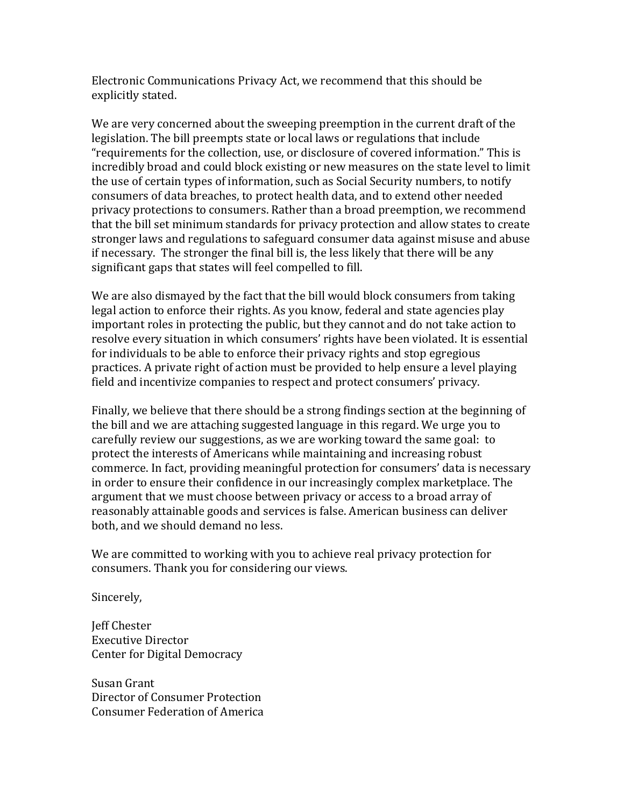Electronic Communications Privacy Act, we recommend that this should be explicitly stated.

We are very concerned about the sweeping preemption in the current draft of the legislation. The bill preempts state or local laws or regulations that include "requirements for the collection, use, or disclosure of covered information." This is incredibly broad and could block existing or new measures on the state level to limit the use of certain types of information, such as Social Security numbers, to notify consumers of data breaches, to protect health data, and to extend other needed privacy protections to consumers. Rather than a broad preemption, we recommend that the bill set minimum standards for privacy protection and allow states to create stronger laws and regulations to safeguard consumer data against misuse and abuse if necessary. The stronger the final bill is, the less likely that there will be any significant gaps that states will feel compelled to fill.

We are also dismayed by the fact that the bill would block consumers from taking legal action to enforce their rights. As you know, federal and state agencies play important roles in protecting the public, but they cannot and do not take action to resolve every situation in which consumers' rights have been violated. It is essential for individuals to be able to enforce their privacy rights and stop egregious practices. A private right of action must be provided to help ensure a level playing field and incentivize companies to respect and protect consumers' privacy.

Finally, we believe that there should be a strong findings section at the beginning of the bill and we are attaching suggested language in this regard. We urge you to carefully review our suggestions, as we are working toward the same goal: to protect the interests of Americans while maintaining and increasing robust commerce. In fact, providing meaningful protection for consumers' data is necessary in order to ensure their confidence in our increasingly complex marketplace. The argument that we must choose between privacy or access to a broad array of reasonably attainable goods and services is false. American business can deliver both, and we should demand no less.

We are committed to working with you to achieve real privacy protection for consumers. Thank you for considering our views.

Sincerely,

Jeff Chester Executive Director Center for Digital Democracy

Susan Grant Director of Consumer Protection Consumer Federation of America